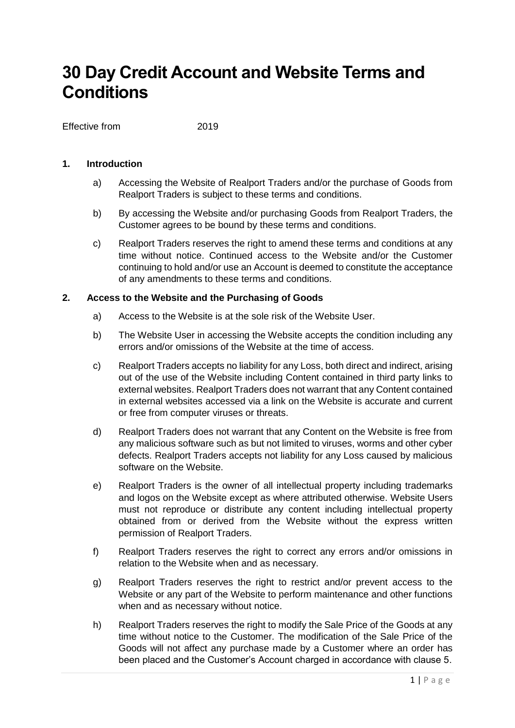# **30 Day Credit Account and Website Terms and Conditions**

Effective from 2019

## **1. Introduction**

- a) Accessing the Website of Realport Traders and/or the purchase of Goods from Realport Traders is subject to these terms and conditions.
- b) By accessing the Website and/or purchasing Goods from Realport Traders, the Customer agrees to be bound by these terms and conditions.
- c) Realport Traders reserves the right to amend these terms and conditions at any time without notice. Continued access to the Website and/or the Customer continuing to hold and/or use an Account is deemed to constitute the acceptance of any amendments to these terms and conditions.

#### **2. Access to the Website and the Purchasing of Goods**

- a) Access to the Website is at the sole risk of the Website User.
- b) The Website User in accessing the Website accepts the condition including any errors and/or omissions of the Website at the time of access.
- c) Realport Traders accepts no liability for any Loss, both direct and indirect, arising out of the use of the Website including Content contained in third party links to external websites. Realport Traders does not warrant that any Content contained in external websites accessed via a link on the Website is accurate and current or free from computer viruses or threats.
- d) Realport Traders does not warrant that any Content on the Website is free from any malicious software such as but not limited to viruses, worms and other cyber defects. Realport Traders accepts not liability for any Loss caused by malicious software on the Website.
- e) Realport Traders is the owner of all intellectual property including trademarks and logos on the Website except as where attributed otherwise. Website Users must not reproduce or distribute any content including intellectual property obtained from or derived from the Website without the express written permission of Realport Traders.
- f) Realport Traders reserves the right to correct any errors and/or omissions in relation to the Website when and as necessary.
- g) Realport Traders reserves the right to restrict and/or prevent access to the Website or any part of the Website to perform maintenance and other functions when and as necessary without notice.
- h) Realport Traders reserves the right to modify the Sale Price of the Goods at any time without notice to the Customer. The modification of the Sale Price of the Goods will not affect any purchase made by a Customer where an order has been placed and the Customer's Account charged in accordance with clause 5.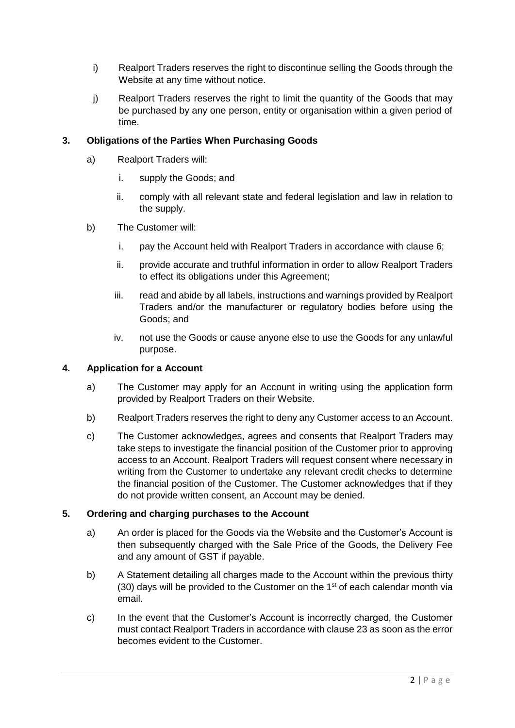- i) Realport Traders reserves the right to discontinue selling the Goods through the Website at any time without notice.
- j) Realport Traders reserves the right to limit the quantity of the Goods that may be purchased by any one person, entity or organisation within a given period of time.

# **3. Obligations of the Parties When Purchasing Goods**

- a) Realport Traders will:
	- i. supply the Goods; and
	- ii. comply with all relevant state and federal legislation and law in relation to the supply.
- b) The Customer will:
	- i. pay the Account held with Realport Traders in accordance with clause 6;
	- ii. provide accurate and truthful information in order to allow Realport Traders to effect its obligations under this Agreement;
	- iii. read and abide by all labels, instructions and warnings provided by Realport Traders and/or the manufacturer or regulatory bodies before using the Goods; and
	- iv. not use the Goods or cause anyone else to use the Goods for any unlawful purpose.

# **4. Application for a Account**

- a) The Customer may apply for an Account in writing using the application form provided by Realport Traders on their Website.
- b) Realport Traders reserves the right to deny any Customer access to an Account.
- c) The Customer acknowledges, agrees and consents that Realport Traders may take steps to investigate the financial position of the Customer prior to approving access to an Account. Realport Traders will request consent where necessary in writing from the Customer to undertake any relevant credit checks to determine the financial position of the Customer. The Customer acknowledges that if they do not provide written consent, an Account may be denied.

## **5. Ordering and charging purchases to the Account**

- a) An order is placed for the Goods via the Website and the Customer's Account is then subsequently charged with the Sale Price of the Goods, the Delivery Fee and any amount of GST if payable.
- b) A Statement detailing all charges made to the Account within the previous thirty (30) days will be provided to the Customer on the  $1<sup>st</sup>$  of each calendar month via email.
- c) In the event that the Customer's Account is incorrectly charged, the Customer must contact Realport Traders in accordance with clause 23 as soon as the error becomes evident to the Customer.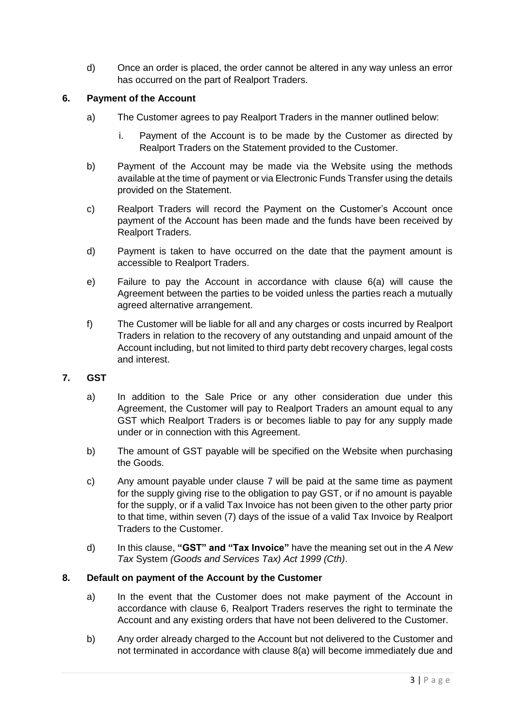d) Once an order is placed, the order cannot be altered in any way unless an error has occurred on the part of Realport Traders.

# **6. Payment of the Account**

- a) The Customer agrees to pay Realport Traders in the manner outlined below:
	- i. Payment of the Account is to be made by the Customer as directed by Realport Traders on the Statement provided to the Customer.
- b) Payment of the Account may be made via the Website using the methods available at the time of payment or via Electronic Funds Transfer using the details provided on the Statement.
- c) Realport Traders will record the Payment on the Customer's Account once payment of the Account has been made and the funds have been received by Realport Traders.
- d) Payment is taken to have occurred on the date that the payment amount is accessible to Realport Traders.
- e) Failure to pay the Account in accordance with clause 6(a) will cause the Agreement between the parties to be voided unless the parties reach a mutually agreed alternative arrangement.
- f) The Customer will be liable for all and any charges or costs incurred by Realport Traders in relation to the recovery of any outstanding and unpaid amount of the Account including, but not limited to third party debt recovery charges, legal costs and interest.

# **7. GST**

- a) In addition to the Sale Price or any other consideration due under this Agreement, the Customer will pay to Realport Traders an amount equal to any GST which Realport Traders is or becomes liable to pay for any supply made under or in connection with this Agreement.
- b) The amount of GST payable will be specified on the Website when purchasing the Goods.
- c) Any amount payable under clause 7 will be paid at the same time as payment for the supply giving rise to the obligation to pay GST, or if no amount is payable for the supply, or if a valid Tax Invoice has not been given to the other party prior to that time, within seven (7) days of the issue of a valid Tax Invoice by Realport Traders to the Customer.
- d) In this clause, **"GST" and "Tax Invoice"** have the meaning set out in the *A New Tax* System *(Goods and Services Tax) Act 1999 (Cth)*.

## **8. Default on payment of the Account by the Customer**

- a) In the event that the Customer does not make payment of the Account in accordance with clause 6, Realport Traders reserves the right to terminate the Account and any existing orders that have not been delivered to the Customer.
- b) Any order already charged to the Account but not delivered to the Customer and not terminated in accordance with clause 8(a) will become immediately due and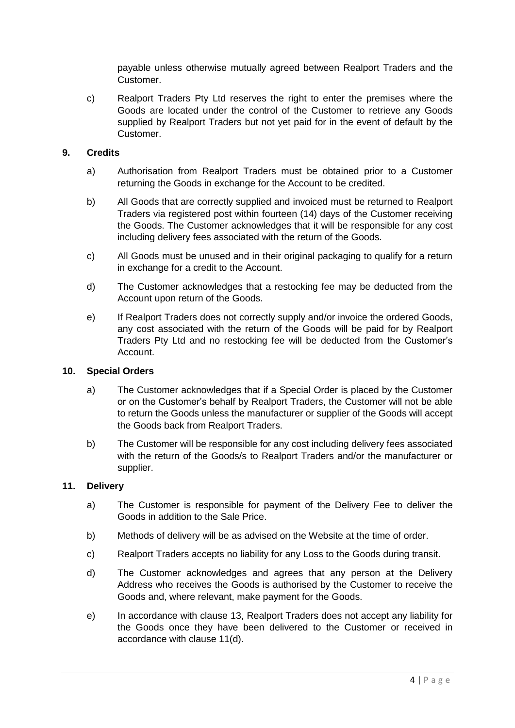payable unless otherwise mutually agreed between Realport Traders and the Customer.

c) Realport Traders Pty Ltd reserves the right to enter the premises where the Goods are located under the control of the Customer to retrieve any Goods supplied by Realport Traders but not yet paid for in the event of default by the Customer.

## **9. Credits**

- a) Authorisation from Realport Traders must be obtained prior to a Customer returning the Goods in exchange for the Account to be credited.
- b) All Goods that are correctly supplied and invoiced must be returned to Realport Traders via registered post within fourteen (14) days of the Customer receiving the Goods. The Customer acknowledges that it will be responsible for any cost including delivery fees associated with the return of the Goods.
- c) All Goods must be unused and in their original packaging to qualify for a return in exchange for a credit to the Account.
- d) The Customer acknowledges that a restocking fee may be deducted from the Account upon return of the Goods.
- e) If Realport Traders does not correctly supply and/or invoice the ordered Goods, any cost associated with the return of the Goods will be paid for by Realport Traders Pty Ltd and no restocking fee will be deducted from the Customer's Account.

#### **10. Special Orders**

- a) The Customer acknowledges that if a Special Order is placed by the Customer or on the Customer's behalf by Realport Traders, the Customer will not be able to return the Goods unless the manufacturer or supplier of the Goods will accept the Goods back from Realport Traders.
- b) The Customer will be responsible for any cost including delivery fees associated with the return of the Goods/s to Realport Traders and/or the manufacturer or supplier.

# **11. Delivery**

- a) The Customer is responsible for payment of the Delivery Fee to deliver the Goods in addition to the Sale Price.
- b) Methods of delivery will be as advised on the Website at the time of order.
- c) Realport Traders accepts no liability for any Loss to the Goods during transit.
- d) The Customer acknowledges and agrees that any person at the Delivery Address who receives the Goods is authorised by the Customer to receive the Goods and, where relevant, make payment for the Goods.
- e) In accordance with clause 13, Realport Traders does not accept any liability for the Goods once they have been delivered to the Customer or received in accordance with clause 11(d).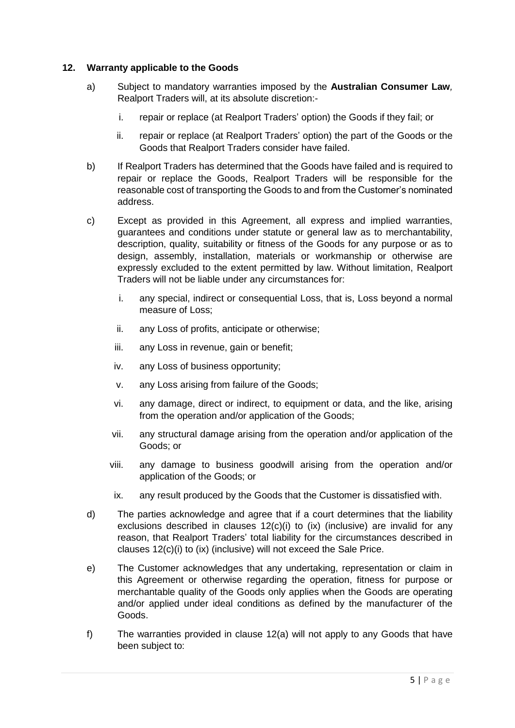## **12. Warranty applicable to the Goods**

- a) Subject to mandatory warranties imposed by the **Australian Consumer Law***,*  Realport Traders will, at its absolute discretion:
	- i. repair or replace (at Realport Traders' option) the Goods if they fail; or
	- ii. repair or replace (at Realport Traders' option) the part of the Goods or the Goods that Realport Traders consider have failed.
- b) If Realport Traders has determined that the Goods have failed and is required to repair or replace the Goods, Realport Traders will be responsible for the reasonable cost of transporting the Goods to and from the Customer's nominated address.
- c) Except as provided in this Agreement, all express and implied warranties, guarantees and conditions under statute or general law as to merchantability, description, quality, suitability or fitness of the Goods for any purpose or as to design, assembly, installation, materials or workmanship or otherwise are expressly excluded to the extent permitted by law. Without limitation, Realport Traders will not be liable under any circumstances for:
	- i. any special, indirect or consequential Loss, that is, Loss beyond a normal measure of Loss;
	- ii. any Loss of profits, anticipate or otherwise;
	- iii. any Loss in revenue, gain or benefit;
	- iv. any Loss of business opportunity;
	- v. any Loss arising from failure of the Goods;
	- vi. any damage, direct or indirect, to equipment or data, and the like, arising from the operation and/or application of the Goods;
	- vii. any structural damage arising from the operation and/or application of the Goods; or
	- viii. any damage to business goodwill arising from the operation and/or application of the Goods; or
	- ix. any result produced by the Goods that the Customer is dissatisfied with.
- d) The parties acknowledge and agree that if a court determines that the liability exclusions described in clauses 12(c)(i) to (ix) (inclusive) are invalid for any reason, that Realport Traders' total liability for the circumstances described in clauses 12(c)(i) to (ix) (inclusive) will not exceed the Sale Price.
- e) The Customer acknowledges that any undertaking, representation or claim in this Agreement or otherwise regarding the operation, fitness for purpose or merchantable quality of the Goods only applies when the Goods are operating and/or applied under ideal conditions as defined by the manufacturer of the Goods.
- f) The warranties provided in clause 12(a) will not apply to any Goods that have been subject to: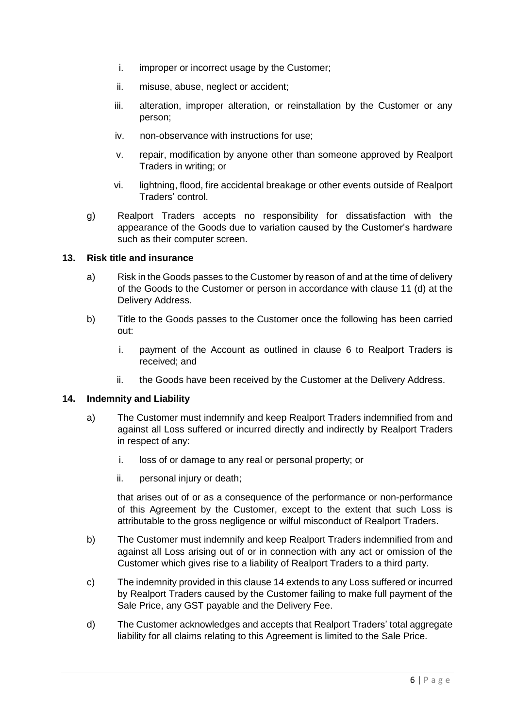- i. improper or incorrect usage by the Customer;
- ii. misuse, abuse, neglect or accident;
- iii. alteration, improper alteration, or reinstallation by the Customer or any person;
- iv. non-observance with instructions for use;
- v. repair, modification by anyone other than someone approved by Realport Traders in writing; or
- vi. lightning, flood, fire accidental breakage or other events outside of Realport Traders' control.
- g) Realport Traders accepts no responsibility for dissatisfaction with the appearance of the Goods due to variation caused by the Customer's hardware such as their computer screen.

## **13. Risk title and insurance**

- a) Risk in the Goods passes to the Customer by reason of and at the time of delivery of the Goods to the Customer or person in accordance with clause 11 (d) at the Delivery Address.
- b) Title to the Goods passes to the Customer once the following has been carried out:
	- i. payment of the Account as outlined in clause 6 to Realport Traders is received; and
	- ii. the Goods have been received by the Customer at the Delivery Address.

# **14. Indemnity and Liability**

- a) The Customer must indemnify and keep Realport Traders indemnified from and against all Loss suffered or incurred directly and indirectly by Realport Traders in respect of any:
	- i. loss of or damage to any real or personal property; or
	- ii. personal injury or death;

that arises out of or as a consequence of the performance or non-performance of this Agreement by the Customer, except to the extent that such Loss is attributable to the gross negligence or wilful misconduct of Realport Traders.

- b) The Customer must indemnify and keep Realport Traders indemnified from and against all Loss arising out of or in connection with any act or omission of the Customer which gives rise to a liability of Realport Traders to a third party.
- c) The indemnity provided in this clause 14 extends to any Loss suffered or incurred by Realport Traders caused by the Customer failing to make full payment of the Sale Price, any GST payable and the Delivery Fee.
- d) The Customer acknowledges and accepts that Realport Traders' total aggregate liability for all claims relating to this Agreement is limited to the Sale Price.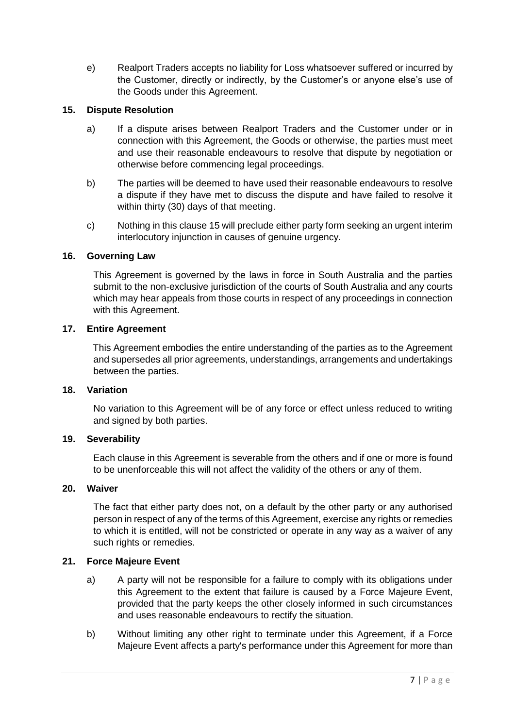e) Realport Traders accepts no liability for Loss whatsoever suffered or incurred by the Customer, directly or indirectly, by the Customer's or anyone else's use of the Goods under this Agreement.

# **15. Dispute Resolution**

- a) If a dispute arises between Realport Traders and the Customer under or in connection with this Agreement, the Goods or otherwise, the parties must meet and use their reasonable endeavours to resolve that dispute by negotiation or otherwise before commencing legal proceedings.
- b) The parties will be deemed to have used their reasonable endeavours to resolve a dispute if they have met to discuss the dispute and have failed to resolve it within thirty (30) days of that meeting.
- c) Nothing in this clause 15 will preclude either party form seeking an urgent interim interlocutory injunction in causes of genuine urgency.

# **16. Governing Law**

This Agreement is governed by the laws in force in South Australia and the parties submit to the non-exclusive jurisdiction of the courts of South Australia and any courts which may hear appeals from those courts in respect of any proceedings in connection with this Agreement.

## **17. Entire Agreement**

This Agreement embodies the entire understanding of the parties as to the Agreement and supersedes all prior agreements, understandings, arrangements and undertakings between the parties.

## **18. Variation**

No variation to this Agreement will be of any force or effect unless reduced to writing and signed by both parties.

## **19. Severability**

Each clause in this Agreement is severable from the others and if one or more is found to be unenforceable this will not affect the validity of the others or any of them.

#### **20. Waiver**

The fact that either party does not, on a default by the other party or any authorised person in respect of any of the terms of this Agreement, exercise any rights or remedies to which it is entitled, will not be constricted or operate in any way as a waiver of any such rights or remedies.

## **21. Force Majeure Event**

- a) A party will not be responsible for a failure to comply with its obligations under this Agreement to the extent that failure is caused by a Force Majeure Event, provided that the party keeps the other closely informed in such circumstances and uses reasonable endeavours to rectify the situation.
- b) Without limiting any other right to terminate under this Agreement, if a Force Majeure Event affects a party's performance under this Agreement for more than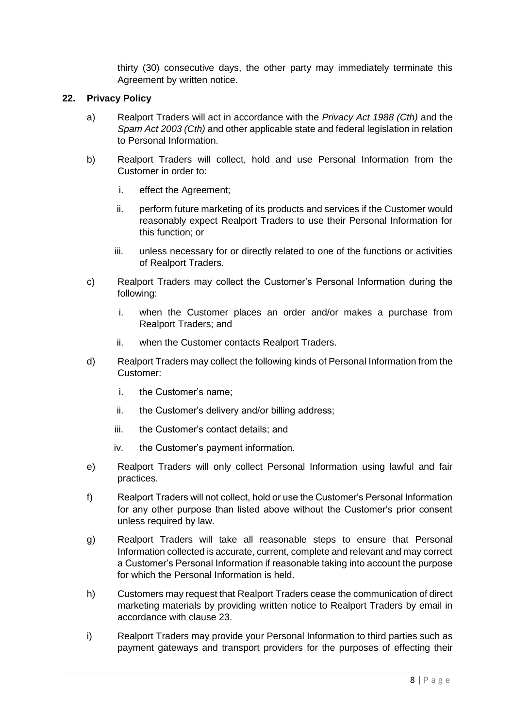thirty (30) consecutive days, the other party may immediately terminate this Agreement by written notice.

#### **22. Privacy Policy**

- a) Realport Traders will act in accordance with the *Privacy Act 1988 (Cth)* and the *Spam Act 2003 (Cth)* and other applicable state and federal legislation in relation to Personal Information.
- b) Realport Traders will collect, hold and use Personal Information from the Customer in order to:
	- i. effect the Agreement;
	- ii. perform future marketing of its products and services if the Customer would reasonably expect Realport Traders to use their Personal Information for this function; or
	- iii. unless necessary for or directly related to one of the functions or activities of Realport Traders.
- c) Realport Traders may collect the Customer's Personal Information during the following:
	- i. when the Customer places an order and/or makes a purchase from Realport Traders; and
	- ii. when the Customer contacts Realport Traders.
- d) Realport Traders may collect the following kinds of Personal Information from the Customer:
	- i. the Customer's name;
	- ii. the Customer's delivery and/or billing address;
	- iii. the Customer's contact details; and
	- iv. the Customer's payment information.
- e) Realport Traders will only collect Personal Information using lawful and fair practices.
- f) Realport Traders will not collect, hold or use the Customer's Personal Information for any other purpose than listed above without the Customer's prior consent unless required by law.
- g) Realport Traders will take all reasonable steps to ensure that Personal Information collected is accurate, current, complete and relevant and may correct a Customer's Personal Information if reasonable taking into account the purpose for which the Personal Information is held.
- h) Customers may request that Realport Traders cease the communication of direct marketing materials by providing written notice to Realport Traders by email in accordance with clause 23.
- i) Realport Traders may provide your Personal Information to third parties such as payment gateways and transport providers for the purposes of effecting their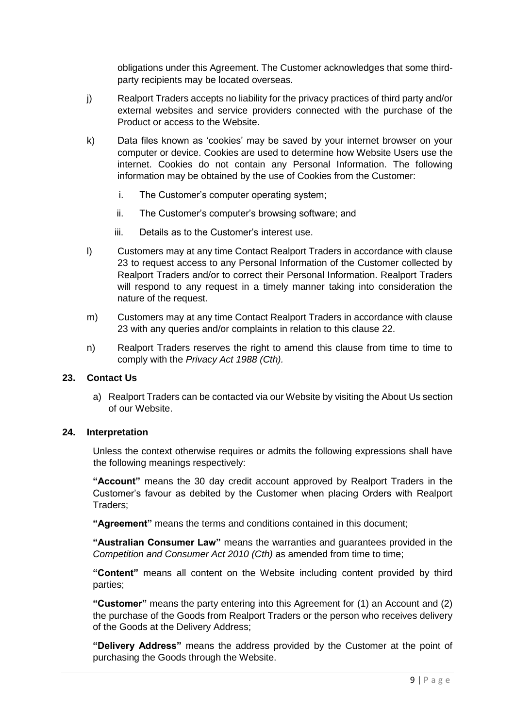obligations under this Agreement. The Customer acknowledges that some thirdparty recipients may be located overseas.

- j) Realport Traders accepts no liability for the privacy practices of third party and/or external websites and service providers connected with the purchase of the Product or access to the Website.
- k) Data files known as 'cookies' may be saved by your internet browser on your computer or device. Cookies are used to determine how Website Users use the internet. Cookies do not contain any Personal Information. The following information may be obtained by the use of Cookies from the Customer:
	- i. The Customer's computer operating system;
	- ii. The Customer's computer's browsing software; and
	- iii. Details as to the Customer's interest use.
- l) Customers may at any time Contact Realport Traders in accordance with clause 23 to request access to any Personal Information of the Customer collected by Realport Traders and/or to correct their Personal Information. Realport Traders will respond to any request in a timely manner taking into consideration the nature of the request.
- m) Customers may at any time Contact Realport Traders in accordance with clause 23 with any queries and/or complaints in relation to this clause 22.
- n) Realport Traders reserves the right to amend this clause from time to time to comply with the *Privacy Act 1988 (Cth).*

#### **23. Contact Us**

a) Realport Traders can be contacted via our Website by visiting the About Us section of our Website.

#### **24. Interpretation**

Unless the context otherwise requires or admits the following expressions shall have the following meanings respectively:

**"Account"** means the 30 day credit account approved by Realport Traders in the Customer's favour as debited by the Customer when placing Orders with Realport Traders;

**"Agreement"** means the terms and conditions contained in this document;

**"Australian Consumer Law"** means the warranties and guarantees provided in the *Competition and Consumer Act 2010 (Cth)* as amended from time to time;

**"Content"** means all content on the Website including content provided by third parties;

**"Customer"** means the party entering into this Agreement for (1) an Account and (2) the purchase of the Goods from Realport Traders or the person who receives delivery of the Goods at the Delivery Address;

**"Delivery Address"** means the address provided by the Customer at the point of purchasing the Goods through the Website.